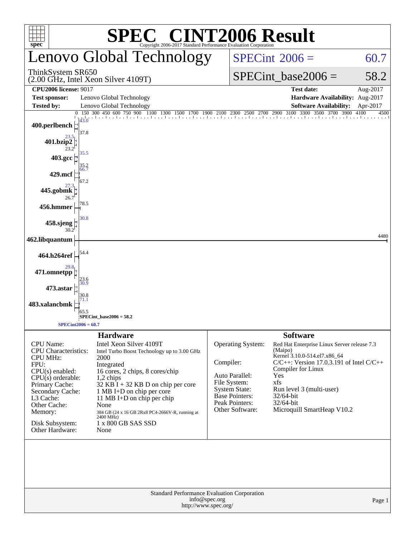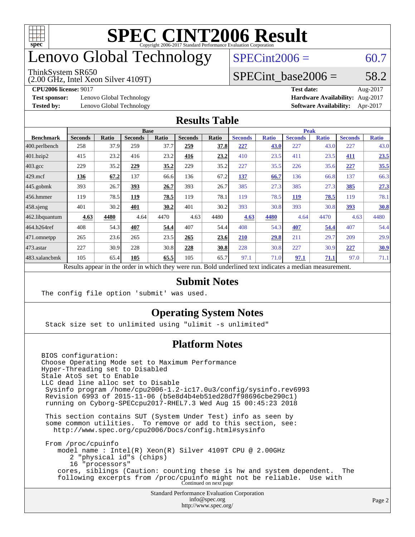

## enovo Global Technology

#### ThinkSystem SR650

(2.00 GHz, Intel Xeon Silver 4109T)

 $SPECint2006 = 60.7$  $SPECint2006 = 60.7$ 

### SPECint base2006 =  $58.2$

**[Test sponsor:](http://www.spec.org/auto/cpu2006/Docs/result-fields.html#Testsponsor)** Lenovo Global Technology **[Hardware Availability:](http://www.spec.org/auto/cpu2006/Docs/result-fields.html#HardwareAvailability)** Aug-2017

**[CPU2006 license:](http://www.spec.org/auto/cpu2006/Docs/result-fields.html#CPU2006license)** 9017 **[Test date:](http://www.spec.org/auto/cpu2006/Docs/result-fields.html#Testdate)** Aug-2017 **[Tested by:](http://www.spec.org/auto/cpu2006/Docs/result-fields.html#Testedby)** Lenovo Global Technology **[Software Availability:](http://www.spec.org/auto/cpu2006/Docs/result-fields.html#SoftwareAvailability)** Apr-2017

#### **[Results Table](http://www.spec.org/auto/cpu2006/Docs/result-fields.html#ResultsTable)**

|                                                                                                          | <b>Base</b>    |              |                |       | <b>Peak</b>    |       |                |              |                |              |                |              |
|----------------------------------------------------------------------------------------------------------|----------------|--------------|----------------|-------|----------------|-------|----------------|--------------|----------------|--------------|----------------|--------------|
| <b>Benchmark</b>                                                                                         | <b>Seconds</b> | <b>Ratio</b> | <b>Seconds</b> | Ratio | <b>Seconds</b> | Ratio | <b>Seconds</b> | <b>Ratio</b> | <b>Seconds</b> | <b>Ratio</b> | <b>Seconds</b> | <b>Ratio</b> |
| 400.perlbench                                                                                            | 258            | 37.9         | 259            | 37.7  | 259            | 37.8  | 227            | 43.0         | 227            | 43.0         | 227            | 43.0         |
| 401.bzip2                                                                                                | 415            | 23.2         | 416            | 23.2  | 416            | 23.2  | 410            | 23.5         | 411            | 23.5         | 411            | 23.5         |
| $403.\text{gcc}$                                                                                         | 229            | 35.2         | 229            | 35.2  | 229            | 35.2  | 227            | 35.5         | 226            | 35.6         | 227            | 35.5         |
| $429$ .mcf                                                                                               | 136            | 67.2         | 137            | 66.6  | 136            | 67.2  | 137            | 66.7         | 136            | 66.8         | 137            | 66.3         |
| $445$ .gobmk                                                                                             | 393            | 26.7         | 393            | 26.7  | 393            | 26.7  | 385            | 27.3         | 385            | 27.3         | 385            | 27.3         |
| $456.$ hmmer                                                                                             | 119            | 78.5         | 119            | 78.5  | 119            | 78.1  | 119            | 78.5         | 119            | 78.5         | 119            | 78.1         |
| $458$ .sjeng                                                                                             | 401            | 30.2         | 401            | 30.2  | 401            | 30.2  | 393            | 30.8         | 393            | 30.8         | 393            | 30.8         |
| 462.libquantum                                                                                           | 4.63           | 4480         | 4.64           | 4470  | 4.63           | 4480  | 4.63           | 4480         | 4.64           | 4470         | 4.63           | 4480         |
| 464.h264ref                                                                                              | 408            | 54.3         | 407            | 54.4  | 407            | 54.4  | 408            | 54.3         | 407            | 54.4         | 407            | 54.4         |
| 471.omnetpp                                                                                              | 265            | 23.6         | 265            | 23.5  | 265            | 23.6  | 210            | 29.8         | 211            | 29.7         | 209            | 29.9         |
| $473$ . astar                                                                                            | 227            | 30.9         | 228            | 30.8  | 228            | 30.8  | 228            | 30.8         | 227            | 30.9         | 227            | <u>30.9</u>  |
| 483.xalancbmk                                                                                            | 105            | 65.4         | 105            | 65.5  | 105            | 65.7  | 97.1           | 71.0         | 97.1           | 71.1         | 97.0           | 71.1         |
| Results appear in the order in which they were run. Bold underlined text indicates a median measurement. |                |              |                |       |                |       |                |              |                |              |                |              |

### **[Submit Notes](http://www.spec.org/auto/cpu2006/Docs/result-fields.html#SubmitNotes)**

The config file option 'submit' was used.

### **[Operating System Notes](http://www.spec.org/auto/cpu2006/Docs/result-fields.html#OperatingSystemNotes)**

Stack size set to unlimited using "ulimit -s unlimited"

### **[Platform Notes](http://www.spec.org/auto/cpu2006/Docs/result-fields.html#PlatformNotes)**

Standard Performance Evaluation Corporation [info@spec.org](mailto:info@spec.org) BIOS configuration: Choose Operating Mode set to Maximum Performance Hyper-Threading set to Disabled Stale AtoS set to Enable LLC dead line alloc set to Disable Sysinfo program /home/cpu2006-1.2-ic17.0u3/config/sysinfo.rev6993 Revision 6993 of 2015-11-06 (b5e8d4b4eb51ed28d7f98696cbe290c1) running on Cyborg-SPECcpu2017-RHEL7.3 Wed Aug 15 00:45:23 2018 This section contains SUT (System Under Test) info as seen by some common utilities. To remove or add to this section, see: <http://www.spec.org/cpu2006/Docs/config.html#sysinfo> From /proc/cpuinfo model name : Intel(R) Xeon(R) Silver 4109T CPU @ 2.00GHz 2 "physical id"s (chips) 16 "processors" cores, siblings (Caution: counting these is hw and system dependent. The following excerpts from /proc/cpuinfo might not be reliable. Use with Continued on next page

<http://www.spec.org/>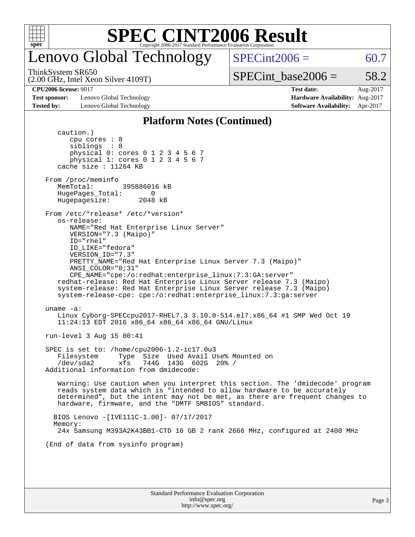

## enovo Global Technology

ThinkSystem SR650

 $SPECint2006 = 60.7$  $SPECint2006 = 60.7$ 

(2.00 GHz, Intel Xeon Silver 4109T)

 $SPECTnt\_base2006 = 58.2$ 

**[Test sponsor:](http://www.spec.org/auto/cpu2006/Docs/result-fields.html#Testsponsor)** Lenovo Global Technology **[Hardware Availability:](http://www.spec.org/auto/cpu2006/Docs/result-fields.html#HardwareAvailability)** Aug-2017 **[Tested by:](http://www.spec.org/auto/cpu2006/Docs/result-fields.html#Testedby)** Lenovo Global Technology **[Software Availability:](http://www.spec.org/auto/cpu2006/Docs/result-fields.html#SoftwareAvailability)** Apr-2017

**[CPU2006 license:](http://www.spec.org/auto/cpu2006/Docs/result-fields.html#CPU2006license)** 9017 **[Test date:](http://www.spec.org/auto/cpu2006/Docs/result-fields.html#Testdate)** Aug-2017

#### **[Platform Notes \(Continued\)](http://www.spec.org/auto/cpu2006/Docs/result-fields.html#PlatformNotes)**

| caution.)<br>cpu cores $: 8$<br>siblings : 8<br>physical 0: cores 0 1 2 3 4 5 6 7<br>physical 1: cores 0 1 2 3 4 5 6 7                                                                                                                                                                                                                                                                                                                                                                                                                   |
|------------------------------------------------------------------------------------------------------------------------------------------------------------------------------------------------------------------------------------------------------------------------------------------------------------------------------------------------------------------------------------------------------------------------------------------------------------------------------------------------------------------------------------------|
| cache size : 11264 KB                                                                                                                                                                                                                                                                                                                                                                                                                                                                                                                    |
| From /proc/meminfo<br>MemTotal:<br>395886016 kB<br>HugePages_Total: 0<br>Hugepagesize: 2048 kB                                                                                                                                                                                                                                                                                                                                                                                                                                           |
| From /etc/*release* /etc/*version*<br>os-release:<br>NAME="Red Hat Enterprise Linux Server"<br>VERSION="7.3 (Maipo)"<br>ID="rhel"<br>ID LIKE="fedora"<br>VERSION_ID="7.3"<br>PRETTY NAME="Red Hat Enterprise Linux Server 7.3 (Maipo)"<br>ANSI COLOR="0;31"<br>CPE_NAME="cpe:/o:redhat:enterprise_linux:7.3:GA:server"<br>redhat-release: Red Hat Enterprise Linux Server release 7.3 (Maipo)<br>system-release: Red Hat Enterprise Linux Server release 7.3 (Maipo)<br>system-release-cpe: cpe:/o:redhat:enterprise_linux:7.3:ga:server |
| uname $-a$ :<br>Linux Cyborg-SPECcpu2017-RHEL7.3 3.10.0-514.el7.x86_64 #1 SMP Wed Oct 19<br>11:24:13 EDT 2016 x86_64 x86_64 x86_64 GNU/Linux                                                                                                                                                                                                                                                                                                                                                                                             |
| run-level 3 Aug 15 00:41                                                                                                                                                                                                                                                                                                                                                                                                                                                                                                                 |
| SPEC is set to: /home/cpu2006-1.2-ic17.0u3<br>Type Size Used Avail Use% Mounted on<br>Filesystem<br>744G 143G 602G 20% /<br>/dev/sda2<br>xfs<br>Additional information from dmidecode:                                                                                                                                                                                                                                                                                                                                                   |
| Warning: Use caution when you interpret this section. The 'dmidecode' program<br>reads system data which is "intended to allow hardware to be accurately<br>determined", but the intent may not be met, as there are frequent changes to<br>hardware, firmware, and the "DMTF SMBIOS" standard.                                                                                                                                                                                                                                          |
| BIOS Lenovo -[IVE111C-1.00]- 07/17/2017                                                                                                                                                                                                                                                                                                                                                                                                                                                                                                  |
| Memory:<br>24x Samsung M393A2K43BB1-CTD 16 GB 2 rank 2666 MHz, configured at 2400 MHz                                                                                                                                                                                                                                                                                                                                                                                                                                                    |
| (End of data from sysinfo program)                                                                                                                                                                                                                                                                                                                                                                                                                                                                                                       |
|                                                                                                                                                                                                                                                                                                                                                                                                                                                                                                                                          |
|                                                                                                                                                                                                                                                                                                                                                                                                                                                                                                                                          |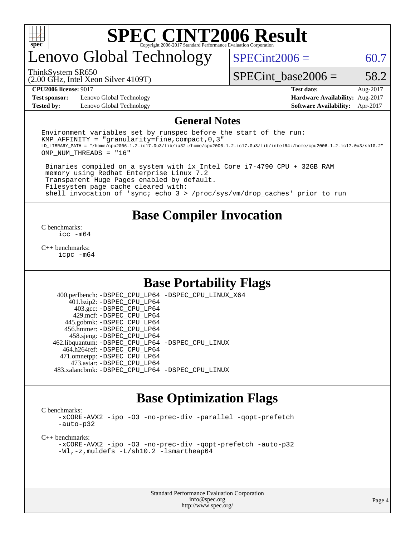

## enovo Global Technology

 $SPECint2006 = 60.7$  $SPECint2006 = 60.7$ 

(2.00 GHz, Intel Xeon Silver 4109T) ThinkSystem SR650

SPECint base2006 =  $58.2$ 

**[Test sponsor:](http://www.spec.org/auto/cpu2006/Docs/result-fields.html#Testsponsor)** Lenovo Global Technology **[Hardware Availability:](http://www.spec.org/auto/cpu2006/Docs/result-fields.html#HardwareAvailability)** Aug-2017 **[Tested by:](http://www.spec.org/auto/cpu2006/Docs/result-fields.html#Testedby)** Lenovo Global Technology **[Software Availability:](http://www.spec.org/auto/cpu2006/Docs/result-fields.html#SoftwareAvailability)** Apr-2017

**[CPU2006 license:](http://www.spec.org/auto/cpu2006/Docs/result-fields.html#CPU2006license)** 9017 **[Test date:](http://www.spec.org/auto/cpu2006/Docs/result-fields.html#Testdate)** Aug-2017

#### **[General Notes](http://www.spec.org/auto/cpu2006/Docs/result-fields.html#GeneralNotes)**

Environment variables set by runspec before the start of the run: KMP AFFINITY = "granularity=fine, compact,  $0,3$ " LD\_LIBRARY\_PATH = "/home/cpu2006-1.2-ic17.0u3/lib/ia32:/home/cpu2006-1.2-ic17.0u3/lib/intel64:/home/cpu2006-1.2-ic17.0u3/sh10.2" OMP\_NUM\_THREADS = "16"

 Binaries compiled on a system with 1x Intel Core i7-4790 CPU + 32GB RAM memory using Redhat Enterprise Linux 7.2 Transparent Huge Pages enabled by default. Filesystem page cache cleared with: shell invocation of 'sync; echo 3 > /proc/sys/vm/drop\_caches' prior to run

### **[Base Compiler Invocation](http://www.spec.org/auto/cpu2006/Docs/result-fields.html#BaseCompilerInvocation)**

[C benchmarks](http://www.spec.org/auto/cpu2006/Docs/result-fields.html#Cbenchmarks): [icc -m64](http://www.spec.org/cpu2006/results/res2017q4/cpu2006-20170918-49701.flags.html#user_CCbase_intel_icc_64bit_bda6cc9af1fdbb0edc3795bac97ada53)

[C++ benchmarks:](http://www.spec.org/auto/cpu2006/Docs/result-fields.html#CXXbenchmarks) [icpc -m64](http://www.spec.org/cpu2006/results/res2017q4/cpu2006-20170918-49701.flags.html#user_CXXbase_intel_icpc_64bit_fc66a5337ce925472a5c54ad6a0de310)

### **[Base Portability Flags](http://www.spec.org/auto/cpu2006/Docs/result-fields.html#BasePortabilityFlags)**

 400.perlbench: [-DSPEC\\_CPU\\_LP64](http://www.spec.org/cpu2006/results/res2017q4/cpu2006-20170918-49701.flags.html#b400.perlbench_basePORTABILITY_DSPEC_CPU_LP64) [-DSPEC\\_CPU\\_LINUX\\_X64](http://www.spec.org/cpu2006/results/res2017q4/cpu2006-20170918-49701.flags.html#b400.perlbench_baseCPORTABILITY_DSPEC_CPU_LINUX_X64) 401.bzip2: [-DSPEC\\_CPU\\_LP64](http://www.spec.org/cpu2006/results/res2017q4/cpu2006-20170918-49701.flags.html#suite_basePORTABILITY401_bzip2_DSPEC_CPU_LP64) 403.gcc: [-DSPEC\\_CPU\\_LP64](http://www.spec.org/cpu2006/results/res2017q4/cpu2006-20170918-49701.flags.html#suite_basePORTABILITY403_gcc_DSPEC_CPU_LP64) 429.mcf: [-DSPEC\\_CPU\\_LP64](http://www.spec.org/cpu2006/results/res2017q4/cpu2006-20170918-49701.flags.html#suite_basePORTABILITY429_mcf_DSPEC_CPU_LP64) 445.gobmk: [-DSPEC\\_CPU\\_LP64](http://www.spec.org/cpu2006/results/res2017q4/cpu2006-20170918-49701.flags.html#suite_basePORTABILITY445_gobmk_DSPEC_CPU_LP64) 456.hmmer: [-DSPEC\\_CPU\\_LP64](http://www.spec.org/cpu2006/results/res2017q4/cpu2006-20170918-49701.flags.html#suite_basePORTABILITY456_hmmer_DSPEC_CPU_LP64) 458.sjeng: [-DSPEC\\_CPU\\_LP64](http://www.spec.org/cpu2006/results/res2017q4/cpu2006-20170918-49701.flags.html#suite_basePORTABILITY458_sjeng_DSPEC_CPU_LP64) 462.libquantum: [-DSPEC\\_CPU\\_LP64](http://www.spec.org/cpu2006/results/res2017q4/cpu2006-20170918-49701.flags.html#suite_basePORTABILITY462_libquantum_DSPEC_CPU_LP64) [-DSPEC\\_CPU\\_LINUX](http://www.spec.org/cpu2006/results/res2017q4/cpu2006-20170918-49701.flags.html#b462.libquantum_baseCPORTABILITY_DSPEC_CPU_LINUX) 464.h264ref: [-DSPEC\\_CPU\\_LP64](http://www.spec.org/cpu2006/results/res2017q4/cpu2006-20170918-49701.flags.html#suite_basePORTABILITY464_h264ref_DSPEC_CPU_LP64) 471.omnetpp: [-DSPEC\\_CPU\\_LP64](http://www.spec.org/cpu2006/results/res2017q4/cpu2006-20170918-49701.flags.html#suite_basePORTABILITY471_omnetpp_DSPEC_CPU_LP64) 473.astar: [-DSPEC\\_CPU\\_LP64](http://www.spec.org/cpu2006/results/res2017q4/cpu2006-20170918-49701.flags.html#suite_basePORTABILITY473_astar_DSPEC_CPU_LP64) 483.xalancbmk: [-DSPEC\\_CPU\\_LP64](http://www.spec.org/cpu2006/results/res2017q4/cpu2006-20170918-49701.flags.html#suite_basePORTABILITY483_xalancbmk_DSPEC_CPU_LP64) [-DSPEC\\_CPU\\_LINUX](http://www.spec.org/cpu2006/results/res2017q4/cpu2006-20170918-49701.flags.html#b483.xalancbmk_baseCXXPORTABILITY_DSPEC_CPU_LINUX)

## **[Base Optimization Flags](http://www.spec.org/auto/cpu2006/Docs/result-fields.html#BaseOptimizationFlags)**

[C benchmarks](http://www.spec.org/auto/cpu2006/Docs/result-fields.html#Cbenchmarks):

[-xCORE-AVX2](http://www.spec.org/cpu2006/results/res2017q4/cpu2006-20170918-49701.flags.html#user_CCbase_f-xCORE-AVX2) [-ipo](http://www.spec.org/cpu2006/results/res2017q4/cpu2006-20170918-49701.flags.html#user_CCbase_f-ipo) [-O3](http://www.spec.org/cpu2006/results/res2017q4/cpu2006-20170918-49701.flags.html#user_CCbase_f-O3) [-no-prec-div](http://www.spec.org/cpu2006/results/res2017q4/cpu2006-20170918-49701.flags.html#user_CCbase_f-no-prec-div) [-parallel](http://www.spec.org/cpu2006/results/res2017q4/cpu2006-20170918-49701.flags.html#user_CCbase_f-parallel) [-qopt-prefetch](http://www.spec.org/cpu2006/results/res2017q4/cpu2006-20170918-49701.flags.html#user_CCbase_f-qopt-prefetch) [-auto-p32](http://www.spec.org/cpu2006/results/res2017q4/cpu2006-20170918-49701.flags.html#user_CCbase_f-auto-p32)

[C++ benchmarks:](http://www.spec.org/auto/cpu2006/Docs/result-fields.html#CXXbenchmarks)

[-xCORE-AVX2](http://www.spec.org/cpu2006/results/res2017q4/cpu2006-20170918-49701.flags.html#user_CXXbase_f-xCORE-AVX2) [-ipo](http://www.spec.org/cpu2006/results/res2017q4/cpu2006-20170918-49701.flags.html#user_CXXbase_f-ipo) [-O3](http://www.spec.org/cpu2006/results/res2017q4/cpu2006-20170918-49701.flags.html#user_CXXbase_f-O3) [-no-prec-div](http://www.spec.org/cpu2006/results/res2017q4/cpu2006-20170918-49701.flags.html#user_CXXbase_f-no-prec-div) [-qopt-prefetch](http://www.spec.org/cpu2006/results/res2017q4/cpu2006-20170918-49701.flags.html#user_CXXbase_f-qopt-prefetch) [-auto-p32](http://www.spec.org/cpu2006/results/res2017q4/cpu2006-20170918-49701.flags.html#user_CXXbase_f-auto-p32) [-Wl,-z,muldefs](http://www.spec.org/cpu2006/results/res2017q4/cpu2006-20170918-49701.flags.html#user_CXXbase_link_force_multiple1_74079c344b956b9658436fd1b6dd3a8a) [-L/sh10.2 -lsmartheap64](http://www.spec.org/cpu2006/results/res2017q4/cpu2006-20170918-49701.flags.html#user_CXXbase_SmartHeap64_63911d860fc08c15fa1d5bf319b9d8d5)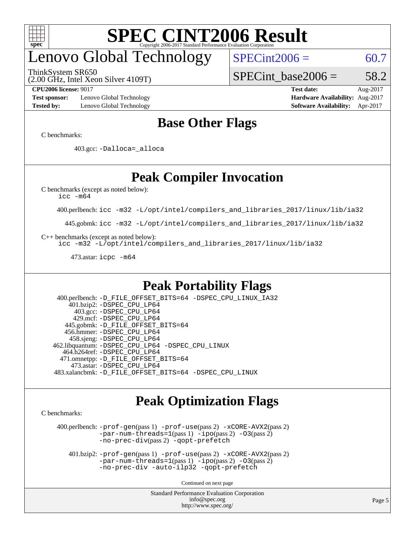

## enovo Global Technology

ThinkSystem SR650

 $SPECint2006 = 60.7$  $SPECint2006 = 60.7$ 

(2.00 GHz, Intel Xeon Silver 4109T)

SPECint base2006 =  $58.2$ 

**[Test sponsor:](http://www.spec.org/auto/cpu2006/Docs/result-fields.html#Testsponsor)** Lenovo Global Technology **[Hardware Availability:](http://www.spec.org/auto/cpu2006/Docs/result-fields.html#HardwareAvailability)** Aug-2017 **[Tested by:](http://www.spec.org/auto/cpu2006/Docs/result-fields.html#Testedby)** Lenovo Global Technology **[Software Availability:](http://www.spec.org/auto/cpu2006/Docs/result-fields.html#SoftwareAvailability)** Apr-2017

**[CPU2006 license:](http://www.spec.org/auto/cpu2006/Docs/result-fields.html#CPU2006license)** 9017 **[Test date:](http://www.spec.org/auto/cpu2006/Docs/result-fields.html#Testdate)** Aug-2017

## **[Base Other Flags](http://www.spec.org/auto/cpu2006/Docs/result-fields.html#BaseOtherFlags)**

[C benchmarks](http://www.spec.org/auto/cpu2006/Docs/result-fields.html#Cbenchmarks):

403.gcc: [-Dalloca=\\_alloca](http://www.spec.org/cpu2006/results/res2017q4/cpu2006-20170918-49701.flags.html#b403.gcc_baseEXTRA_CFLAGS_Dalloca_be3056838c12de2578596ca5467af7f3)

## **[Peak Compiler Invocation](http://www.spec.org/auto/cpu2006/Docs/result-fields.html#PeakCompilerInvocation)**

[C benchmarks \(except as noted below\)](http://www.spec.org/auto/cpu2006/Docs/result-fields.html#Cbenchmarksexceptasnotedbelow):

[icc -m64](http://www.spec.org/cpu2006/results/res2017q4/cpu2006-20170918-49701.flags.html#user_CCpeak_intel_icc_64bit_bda6cc9af1fdbb0edc3795bac97ada53)

400.perlbench: [icc -m32 -L/opt/intel/compilers\\_and\\_libraries\\_2017/linux/lib/ia32](http://www.spec.org/cpu2006/results/res2017q4/cpu2006-20170918-49701.flags.html#user_peakCCLD400_perlbench_intel_icc_c29f3ff5a7ed067b11e4ec10a03f03ae)

445.gobmk: [icc -m32 -L/opt/intel/compilers\\_and\\_libraries\\_2017/linux/lib/ia32](http://www.spec.org/cpu2006/results/res2017q4/cpu2006-20170918-49701.flags.html#user_peakCCLD445_gobmk_intel_icc_c29f3ff5a7ed067b11e4ec10a03f03ae)

[C++ benchmarks \(except as noted below\):](http://www.spec.org/auto/cpu2006/Docs/result-fields.html#CXXbenchmarksexceptasnotedbelow)

[icc -m32 -L/opt/intel/compilers\\_and\\_libraries\\_2017/linux/lib/ia32](http://www.spec.org/cpu2006/results/res2017q4/cpu2006-20170918-49701.flags.html#user_CXXpeak_intel_icc_c29f3ff5a7ed067b11e4ec10a03f03ae)

473.astar: [icpc -m64](http://www.spec.org/cpu2006/results/res2017q4/cpu2006-20170918-49701.flags.html#user_peakCXXLD473_astar_intel_icpc_64bit_fc66a5337ce925472a5c54ad6a0de310)

## **[Peak Portability Flags](http://www.spec.org/auto/cpu2006/Docs/result-fields.html#PeakPortabilityFlags)**

 400.perlbench: [-D\\_FILE\\_OFFSET\\_BITS=64](http://www.spec.org/cpu2006/results/res2017q4/cpu2006-20170918-49701.flags.html#user_peakPORTABILITY400_perlbench_file_offset_bits_64_438cf9856305ebd76870a2c6dc2689ab) [-DSPEC\\_CPU\\_LINUX\\_IA32](http://www.spec.org/cpu2006/results/res2017q4/cpu2006-20170918-49701.flags.html#b400.perlbench_peakCPORTABILITY_DSPEC_CPU_LINUX_IA32) 401.bzip2: [-DSPEC\\_CPU\\_LP64](http://www.spec.org/cpu2006/results/res2017q4/cpu2006-20170918-49701.flags.html#suite_peakPORTABILITY401_bzip2_DSPEC_CPU_LP64) 403.gcc: [-DSPEC\\_CPU\\_LP64](http://www.spec.org/cpu2006/results/res2017q4/cpu2006-20170918-49701.flags.html#suite_peakPORTABILITY403_gcc_DSPEC_CPU_LP64) 429.mcf: [-DSPEC\\_CPU\\_LP64](http://www.spec.org/cpu2006/results/res2017q4/cpu2006-20170918-49701.flags.html#suite_peakPORTABILITY429_mcf_DSPEC_CPU_LP64) 445.gobmk: [-D\\_FILE\\_OFFSET\\_BITS=64](http://www.spec.org/cpu2006/results/res2017q4/cpu2006-20170918-49701.flags.html#user_peakPORTABILITY445_gobmk_file_offset_bits_64_438cf9856305ebd76870a2c6dc2689ab) 456.hmmer: [-DSPEC\\_CPU\\_LP64](http://www.spec.org/cpu2006/results/res2017q4/cpu2006-20170918-49701.flags.html#suite_peakPORTABILITY456_hmmer_DSPEC_CPU_LP64) 458.sjeng: [-DSPEC\\_CPU\\_LP64](http://www.spec.org/cpu2006/results/res2017q4/cpu2006-20170918-49701.flags.html#suite_peakPORTABILITY458_sjeng_DSPEC_CPU_LP64) 462.libquantum: [-DSPEC\\_CPU\\_LP64](http://www.spec.org/cpu2006/results/res2017q4/cpu2006-20170918-49701.flags.html#suite_peakPORTABILITY462_libquantum_DSPEC_CPU_LP64) [-DSPEC\\_CPU\\_LINUX](http://www.spec.org/cpu2006/results/res2017q4/cpu2006-20170918-49701.flags.html#b462.libquantum_peakCPORTABILITY_DSPEC_CPU_LINUX) 464.h264ref: [-DSPEC\\_CPU\\_LP64](http://www.spec.org/cpu2006/results/res2017q4/cpu2006-20170918-49701.flags.html#suite_peakPORTABILITY464_h264ref_DSPEC_CPU_LP64) 471.omnetpp: [-D\\_FILE\\_OFFSET\\_BITS=64](http://www.spec.org/cpu2006/results/res2017q4/cpu2006-20170918-49701.flags.html#user_peakPORTABILITY471_omnetpp_file_offset_bits_64_438cf9856305ebd76870a2c6dc2689ab) 473.astar: [-DSPEC\\_CPU\\_LP64](http://www.spec.org/cpu2006/results/res2017q4/cpu2006-20170918-49701.flags.html#suite_peakPORTABILITY473_astar_DSPEC_CPU_LP64) 483.xalancbmk: [-D\\_FILE\\_OFFSET\\_BITS=64](http://www.spec.org/cpu2006/results/res2017q4/cpu2006-20170918-49701.flags.html#user_peakPORTABILITY483_xalancbmk_file_offset_bits_64_438cf9856305ebd76870a2c6dc2689ab) [-DSPEC\\_CPU\\_LINUX](http://www.spec.org/cpu2006/results/res2017q4/cpu2006-20170918-49701.flags.html#b483.xalancbmk_peakCXXPORTABILITY_DSPEC_CPU_LINUX)

## **[Peak Optimization Flags](http://www.spec.org/auto/cpu2006/Docs/result-fields.html#PeakOptimizationFlags)**

[C benchmarks](http://www.spec.org/auto/cpu2006/Docs/result-fields.html#Cbenchmarks):

 400.perlbench: [-prof-gen](http://www.spec.org/cpu2006/results/res2017q4/cpu2006-20170918-49701.flags.html#user_peakPASS1_CFLAGSPASS1_LDCFLAGS400_perlbench_prof_gen_e43856698f6ca7b7e442dfd80e94a8fc)(pass 1) [-prof-use](http://www.spec.org/cpu2006/results/res2017q4/cpu2006-20170918-49701.flags.html#user_peakPASS2_CFLAGSPASS2_LDCFLAGS400_perlbench_prof_use_bccf7792157ff70d64e32fe3e1250b55)(pass 2) [-xCORE-AVX2](http://www.spec.org/cpu2006/results/res2017q4/cpu2006-20170918-49701.flags.html#user_peakPASS2_CFLAGSPASS2_LDCFLAGS400_perlbench_f-xCORE-AVX2)(pass 2) [-par-num-threads=1](http://www.spec.org/cpu2006/results/res2017q4/cpu2006-20170918-49701.flags.html#user_peakPASS1_CFLAGSPASS1_LDCFLAGS400_perlbench_par_num_threads_786a6ff141b4e9e90432e998842df6c2)(pass 1) [-ipo](http://www.spec.org/cpu2006/results/res2017q4/cpu2006-20170918-49701.flags.html#user_peakPASS2_CFLAGSPASS2_LDCFLAGS400_perlbench_f-ipo)(pass 2) [-O3](http://www.spec.org/cpu2006/results/res2017q4/cpu2006-20170918-49701.flags.html#user_peakPASS2_CFLAGSPASS2_LDCFLAGS400_perlbench_f-O3)(pass 2) [-no-prec-div](http://www.spec.org/cpu2006/results/res2017q4/cpu2006-20170918-49701.flags.html#user_peakPASS2_CFLAGSPASS2_LDCFLAGS400_perlbench_f-no-prec-div)(pass 2) [-qopt-prefetch](http://www.spec.org/cpu2006/results/res2017q4/cpu2006-20170918-49701.flags.html#user_peakCOPTIMIZE400_perlbench_f-qopt-prefetch)

 401.bzip2: [-prof-gen](http://www.spec.org/cpu2006/results/res2017q4/cpu2006-20170918-49701.flags.html#user_peakPASS1_CFLAGSPASS1_LDCFLAGS401_bzip2_prof_gen_e43856698f6ca7b7e442dfd80e94a8fc)(pass 1) [-prof-use](http://www.spec.org/cpu2006/results/res2017q4/cpu2006-20170918-49701.flags.html#user_peakPASS2_CFLAGSPASS2_LDCFLAGS401_bzip2_prof_use_bccf7792157ff70d64e32fe3e1250b55)(pass 2) [-xCORE-AVX2](http://www.spec.org/cpu2006/results/res2017q4/cpu2006-20170918-49701.flags.html#user_peakPASS2_CFLAGSPASS2_LDCFLAGS401_bzip2_f-xCORE-AVX2)(pass 2)  $-par-num-threads=1(pass 1) -ipo(pass 2) -O3(pass 2)$  $-par-num-threads=1(pass 1) -ipo(pass 2) -O3(pass 2)$  $-par-num-threads=1(pass 1) -ipo(pass 2) -O3(pass 2)$  $-par-num-threads=1(pass 1) -ipo(pass 2) -O3(pass 2)$  $-par-num-threads=1(pass 1) -ipo(pass 2) -O3(pass 2)$  $-par-num-threads=1(pass 1) -ipo(pass 2) -O3(pass 2)$ [-no-prec-div](http://www.spec.org/cpu2006/results/res2017q4/cpu2006-20170918-49701.flags.html#user_peakCOPTIMIZEPASS2_CFLAGSPASS2_LDCFLAGS401_bzip2_f-no-prec-div) [-auto-ilp32](http://www.spec.org/cpu2006/results/res2017q4/cpu2006-20170918-49701.flags.html#user_peakCOPTIMIZE401_bzip2_f-auto-ilp32) [-qopt-prefetch](http://www.spec.org/cpu2006/results/res2017q4/cpu2006-20170918-49701.flags.html#user_peakCOPTIMIZE401_bzip2_f-qopt-prefetch)

Continued on next page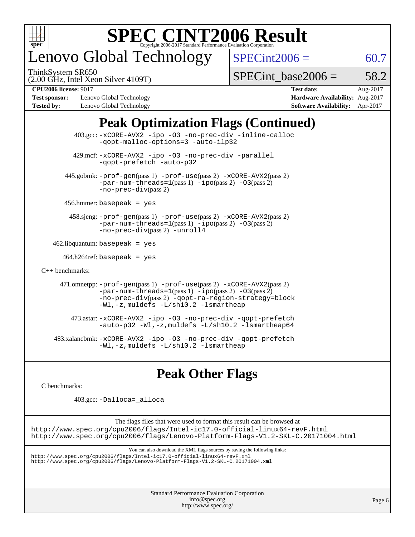

## enovo Global Technology

ThinkSystem SR650

 $SPECint2006 = 60.7$  $SPECint2006 = 60.7$ 

(2.00 GHz, Intel Xeon Silver 4109T)

SPECint base2006 =  $58.2$ 

**[Test sponsor:](http://www.spec.org/auto/cpu2006/Docs/result-fields.html#Testsponsor)** Lenovo Global Technology **[Hardware Availability:](http://www.spec.org/auto/cpu2006/Docs/result-fields.html#HardwareAvailability)** Aug-2017 **[Tested by:](http://www.spec.org/auto/cpu2006/Docs/result-fields.html#Testedby)** Lenovo Global Technology **[Software Availability:](http://www.spec.org/auto/cpu2006/Docs/result-fields.html#SoftwareAvailability)** Apr-2017

**[CPU2006 license:](http://www.spec.org/auto/cpu2006/Docs/result-fields.html#CPU2006license)** 9017 **[Test date:](http://www.spec.org/auto/cpu2006/Docs/result-fields.html#Testdate)** Aug-2017

## **[Peak Optimization Flags \(Continued\)](http://www.spec.org/auto/cpu2006/Docs/result-fields.html#PeakOptimizationFlags)**

|                                        | $403.\text{sec}: -x \text{CORE-AVX2}$ -ipo -03 -no-prec-div -inline-calloc<br>-gopt-malloc-options=3 -auto-ilp32                                                                                                              |  |  |  |  |
|----------------------------------------|-------------------------------------------------------------------------------------------------------------------------------------------------------------------------------------------------------------------------------|--|--|--|--|
|                                        | 429.mcf: -xCORE-AVX2 -ipo -03 -no-prec-div -parallel<br>-gopt-prefetch -auto-p32                                                                                                                                              |  |  |  |  |
|                                        | 445.gobmk: -prof-gen(pass 1) -prof-use(pass 2) -xCORE-AVX2(pass 2)<br>$-par-num-threads=1(pass 1) -ipo(pass 2) -03(pass 2)$<br>$-no\text{-}prec\text{-div}(pass 2)$                                                           |  |  |  |  |
| $456.$ hmmer: basepeak = yes           |                                                                                                                                                                                                                               |  |  |  |  |
|                                        | 458.sjeng: -prof-gen(pass 1) -prof-use(pass 2) -xCORE-AVX2(pass 2)<br>$-par-num-threads=1(pass 1) -ipo(pass 2) -03(pass 2)$<br>-no-prec-div(pass 2) -unroll4                                                                  |  |  |  |  |
| $462$ .libquantum: basepeak = yes      |                                                                                                                                                                                                                               |  |  |  |  |
| $464.h264 \text{ref}$ : basepeak = yes |                                                                                                                                                                                                                               |  |  |  |  |
| $C_{++}$ benchmarks:                   |                                                                                                                                                                                                                               |  |  |  |  |
|                                        | 471.omnetpp: -prof-gen(pass 1) -prof-use(pass 2) -xCORE-AVX2(pass 2)<br>$-par-num-threads=1(pass 1) -ipo(pass 2) -03(pass 2)$<br>-no-prec-div(pass 2) -qopt-ra-region-strategy=block<br>-Wl,-z, muldefs -L/sh10.2 -lsmartheap |  |  |  |  |
|                                        | 473.astar: -xCORE-AVX2 -ipo -03 -no-prec-div -qopt-prefetch<br>$-$ auto-p32 -Wl,-z, muldefs -L/sh10.2 -lsmartheap64                                                                                                           |  |  |  |  |
|                                        | 483.xalancbmk: -xCORE-AVX2 -ipo -03 -no-prec-div -qopt-prefetch<br>$-Wl$ , $-z$ , muldefs $-L/\nabla L$ , 2 $-l$ smartheap                                                                                                    |  |  |  |  |

## **[Peak Other Flags](http://www.spec.org/auto/cpu2006/Docs/result-fields.html#PeakOtherFlags)**

[C benchmarks](http://www.spec.org/auto/cpu2006/Docs/result-fields.html#Cbenchmarks):

403.gcc: [-Dalloca=\\_alloca](http://www.spec.org/cpu2006/results/res2017q4/cpu2006-20170918-49701.flags.html#b403.gcc_peakEXTRA_CFLAGS_Dalloca_be3056838c12de2578596ca5467af7f3)

The flags files that were used to format this result can be browsed at <http://www.spec.org/cpu2006/flags/Intel-ic17.0-official-linux64-revF.html> <http://www.spec.org/cpu2006/flags/Lenovo-Platform-Flags-V1.2-SKL-C.20171004.html>

You can also download the XML flags sources by saving the following links:

<http://www.spec.org/cpu2006/flags/Intel-ic17.0-official-linux64-revF.xml> <http://www.spec.org/cpu2006/flags/Lenovo-Platform-Flags-V1.2-SKL-C.20171004.xml>